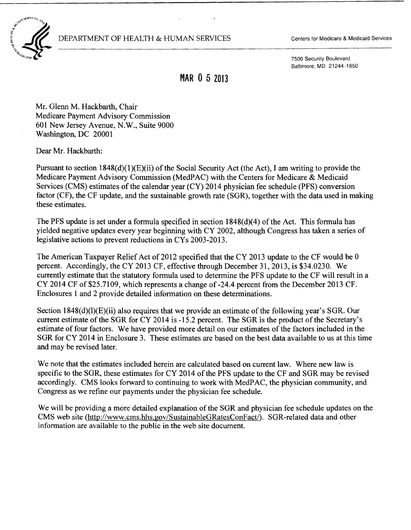DEPARTMENT OF HEALTH & HUMAN SERVICES Centers for Medicare & Medicaid Services



7500 Security Boulevard Baltimore, MD 21244-1850

## **MAR** 0 5 2013

Mr. Glenn M. Hackbarth, Chair Medicare Payment Advisory Commission 601 New Jersey Avenue, N.W., Suite 9000 Washington, DC 20001

Dear Mr. Hackbarth:

Pursuant to section  $1848(d)(1)(E)(ii)$  of the Social Security Act (the Act), I am writing to provide the Medicare Payment Advisory Commission (MedPAC) with the Centers for Medicare & Medicaid Services (CMS) estimates of the calendar year (CY) 2014 physician fee schedule (PFS) conversion factor (CF), the CF update, and the sustainable growth rate (SGR), together with the data used in making these estimates.

The PFS update is set under a formula specified in section  $1848(d)(4)$  of the Act. This formula has yielded negative updates every year beginning with CY 2002, although Congress has taken a series of legislative actions to prevent reductions in CYs 2003-2013.

The American Taxpayer Relief Act of 2012 specified that the CY 2013 update to the CF would be  $0$ percent. Accordingly, the CY 2013 CF, effective through December 31,2013, is \$34.0230. We currently estimate that the statutory formula used to determine the PFS update to the CF will result in a CY 2014 CF of \$25.7109, which represents a change of -24.4 percent from the December 2013 CF. Enclosures 1 and 2 provide detailed information on these determinations.

Section  $1848(d)(l)(E)(ii)$  also requires that we provide an estimate of the following year's SGR. Our current estimate of the SGR for CY 2014 is -15.2 percent. The SGR is the product of the Secretary's estimate of four factors. We have provided more detail on our estimates of the factors included in the SGR for CY 2014 in Enclosure 3. These estimates are based on the best data available to us at this time and may be revised later.

We note that the estimates included herein are calculated based on current law. Where new law is specific to the SGR, these estimates for CY 2014 of the PFS update to the CF and SGR may be revised accordingly. CMS looks forward to continuing to work with MedPAC, the physician community, and Congress as we refine our payments under the physician fee schedule.

We will be providing a more detailed explanation of the SGR and physician fee schedule updates on the CMS web site (http://www.cms.hhs.gov/SustainableGRatesConFact/). SGR-related data and other information are available to the public in the web site document.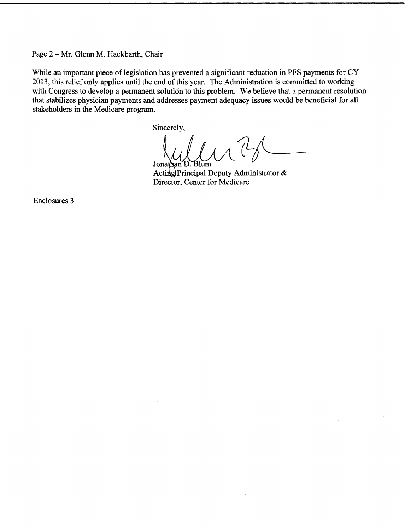Page 2 - Mr. Glenn M. Hackbarth, Chair

While an important piece of legislation has prevented a significant reduction in PFS payments for CY 2013, this relief only applies until the end of this year. The Administration is committed to working with Congress to develop a permanent solution to this problem. We believe that a permanent resolution that stabilizes physician payments and addresses payment adequacy issues would be beneficial for all stakeholders in the Medicare program.

Sincerely,

Jonathan . Blum

Acting Principal Deputy Administrator  $\&$ Director, Center for Medicare

Enclosures 3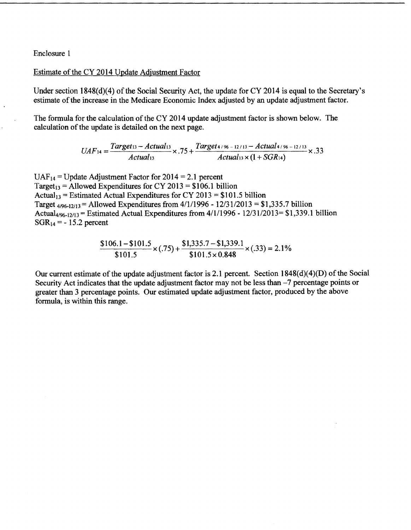Enclosure 1

Estimate of the CY 2014 Update Adjustment Factor

Under section 1848(d)(4) of the Social Security Act, the update for CY 2014 is equal to the Secretary's estimate of the increase in the Medicare Economic Index adjusted by an update adjustment factor.

The formula for the calculation of the CY 2014 update adjustment factor is shown below. The calculation of the update is detailed on the next page.

$$
UAF_{14} = \frac{Target_{13} - Actual_{13}}{Actual_{13}} \times .75 + \frac{Target_{4/96 - 12/13} - Actual_{4/96 - 12/13}}{Actual_{13} \times (1 + SGR_{14})} \times .33
$$

 $UAF_{14}$  = Update Adjustment Factor for 2014 = 2.1 percent Target<sub>13</sub> = Allowed Expenditures for CY 2013 = \$106.1 billion Actual<sub>13</sub> = Estimated Actual Expenditures for CY 2013 = \$101.5 billion Target  $_{4/96-12/13}$  = Allowed Expenditures from  $4/1/1996 - 12/31/2013 = $1,335.7$  billion Actual<sub>4/96-12/13</sub> = Estimated Actual Expenditures from  $4/1/1996 - 12/31/2013 = $1,339.1$  billion  $SGR_{14} = -15.2$  percent

$$
\frac{\$106.1 - \$101.5}{\$101.5} \times (.75) + \frac{\$1,335.7 - \$1,339.1}{\$101.5 \times 0.848} \times (.33) = 2.1\%
$$

Our current estimate of the update adjustment factor is 2.1 percent. Section  $1848(d)(4)(D)$  of the Social Security Act indicates that the update adjustment factor may not be less than -7 percentage points or greater than 3 percentage points. Our estimated update adjustment factor, produced by the above formula, is within this range.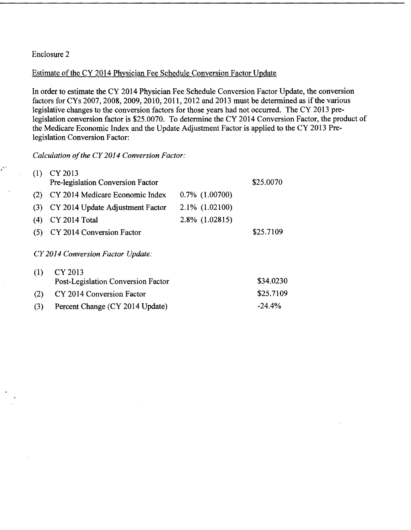## Enclosure 2

## Estimate of the CY 2014 Physician Fee Schedule Conversion Factor Update

In order to estimate the CY 2014 Physician Fee Schedule Conversion Factor Update, the conversion factors for CYs 2007, 2008, 2009, 2010, 2011, 2012 and 2013 must be determined as if the various legislative changes to the conversion factors for those years had not occurred. The CY 2013 prelegislation conversion factor is \$25.0070. To determine the CY 2014 Conversion Factor, the product of the Medicare Economic Index and the Update Adjustment Factor is applied to the CY 2013 Prelegislation Conversion Factor:

Calculation of the CY 2014 Conversion Factor:

| (1) | CY 2013                            |                     |           |
|-----|------------------------------------|---------------------|-----------|
|     | Pre-legislation Conversion Factor  |                     | \$25.0070 |
| (2) | CY 2014 Medicare Economic Index    | $0.7\%$ $(1.00700)$ |           |
| (3) | CY 2014 Update Adjustment Factor   | 2.1% (1.02100)      |           |
| (4) | CY 2014 Total                      | 2.8% (1.02815)      |           |
| (5) | CY 2014 Conversion Factor          |                     | \$25.7109 |
|     | CY 2014 Conversion Factor Update:  |                     |           |
| (1) | CY 2013                            |                     |           |
|     | Post-Legislation Conversion Factor |                     | \$34.0230 |
| (2) | CY 2014 Conversion Factor          |                     | \$25.7109 |
| (3) | Percent Change (CY 2014 Update)    |                     | $-24.4%$  |